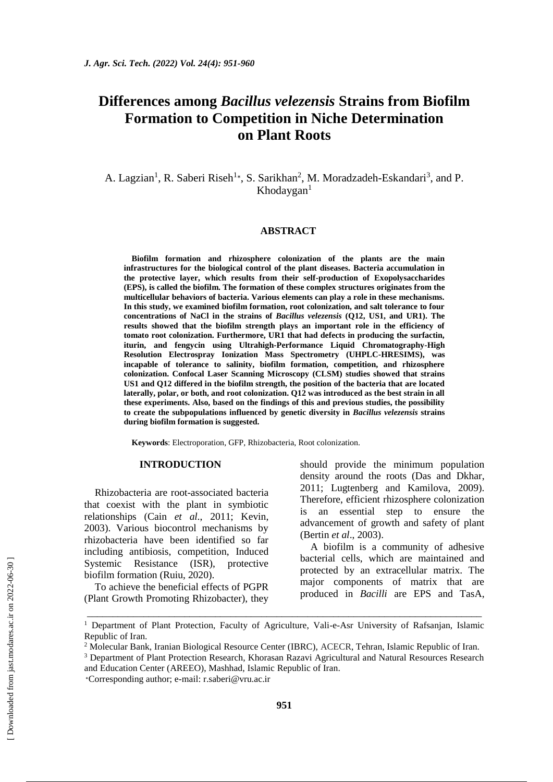# **Differences among** *Bacillus velezensis* **Strains from Biofilm Formation to Competition in Niche Determination on Plant Roots**

A. Lagzian<sup>1</sup>, R. Saberi Riseh<sup>1</sup>\*, S. Sarikhan<sup>2</sup>, M. Moradzadeh-Eskandari<sup>3</sup>, and P.  $Khodaygan<sup>1</sup>$ 

# **ABSTRACT**

**Biofilm formation and rhizosphere colonization of the plants are the main infrastructures for the biological control of the plant diseases. Bacteria accumulation in the protective layer, which results from their self-production of Exopolysaccharides (EPS), is called the biofilm. The formation of these complex structures originates from the multicellular behaviors of bacteria. Various elements can play a role in these mechanisms. In this study, we examined biofilm formation, root colonization, and salt tolerance to four concentrations of NaCl in the strains of** *Bacillus velezensis* **(Q12, US1, and UR1). The results showed that the biofilm strength plays an important role in the efficiency of tomato root colonization. Furthermore, UR1 that had defects in producing the surfactin, iturin, and fengycin using Ultrahigh-Performance Liquid Chromatography-High Resolution Electrospray Ionization Mass Spectrometry (UHPLC-HRESIMS), was incapable of tolerance to salinity, biofilm formation, competition, and rhizosphere colonization. Confocal Laser Scanning Microscopy (CLSM) studies showed that strains US1 and Q12 differed in the biofilm strength, the position of the bacteria that are located laterally, polar, or both, and root colonization. Q12 was introduced as the best strain in all these experiments. Also, based on the findings of this and previous studies, the possibility to create the subpopulations influenced by genetic diversity in** *Bacillus velezensis* **strains during biofilm formation is suggested.** 

**Keywords**: Electroporation, GFP, Rhizobacteria, Root colonization.

# **INTRODUCTION**

Rhizobacteria are root-associated bacteria that coexist with the plant in symbiotic relationships (Cain *et al*., 2011; Kevin, 2003). Various biocontrol mechanisms by rhizobacteria have been identified so far including antibiosis, competition, Induced Systemic Resistance (ISR), protective biofilm formation (Ruiu, 2020).

To achieve the beneficial effects of PGPR (Plant Growth Promoting Rhizobacter), they should provide the minimum population density around the roots (Das and Dkhar, 2011; Lugtenberg and Kamilova, 2009). Therefore, efficient rhizosphere colonization is an essential step to ensure the advancement of growth and safety of plant (Bertin *et al*., 2003).

A biofilm is a community of adhesive bacterial cells, which are maintained and protected by an extracellular matrix. The major components of matrix that are produced in *Bacilli* are EPS and TasA,

\_\_\_\_\_\_\_\_\_\_\_\_\_\_\_\_\_\_\_\_\_\_\_\_\_\_\_\_\_\_\_\_\_\_\_\_\_\_\_\_\_\_\_\_\_\_\_\_\_\_\_\_\_\_\_\_\_\_\_\_\_\_\_\_\_\_\_\_\_\_\_\_\_\_\_\_\_

<sup>&</sup>lt;sup>1</sup> Department of Plant Protection, Faculty of Agriculture, Vali-e-Asr University of Rafsanjan, Islamic Republic of Iran.

<sup>2</sup> Molecular Bank, Iranian Biological Resource Center (IBRC), ACECR, Tehran, Islamic Republic of Iran.

<sup>&</sup>lt;sup>3</sup> Department of Plant Protection Research, Khorasan Razavi Agricultural and Natural Resources Research and Education Center (AREEO), Mashhad, Islamic Republic of Iran.

<sup>∗</sup>Corresponding author; e-mail: [r.saberi@vru.ac.ir](mailto:r.saberi@vru.ac.ir)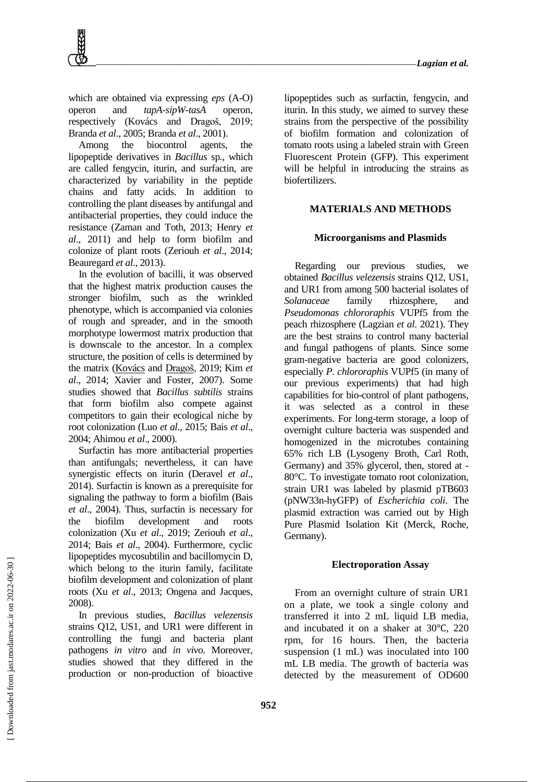which are obtained via expressing *eps* (A-O) operon and *tapA-sipW-tasA* operon, respectively (Kovács and Dragoš, 2019; Branda *et al*., 2005; Branda *et al*., 2001).

Among the biocontrol agents, the lipopeptide derivatives in *Bacillus* sp*.,* which are called fengycin, iturin, and surfactin, are characterized by variability in the peptide chains and fatty acids. In addition to controlling the plant diseases by antifungal and antibacterial properties, they could induce the resistance (Zaman and Toth, 2013; Henry *et al*., 2011) and help to form biofilm and colonize of plant roots (Zeriouh *et al*., 2014; Beauregard *et al*., 2013).

In the evolution of bacilli, it was observed that the highest matrix production causes the stronger biofilm, such as the wrinkled phenotype, which is accompanied via colonies of rough and spreader, and in the smooth morphotype lowermost matrix production that is downscale to the ancestor. In a complex structure, the position of cells is determined by the matrix [\(Kovács](https://www.sciencedirect.com/science/article/abs/pii/S0022283619300701#!) and [Dragoš,](https://www.sciencedirect.com/science/article/abs/pii/S0022283619300701#!) 2019; Kim *et al*., 2014; Xavier and Foster, 2007). Some studies showed that *Bacillus subtilis* strains that form biofilm also compete against competitors to gain their ecological niche by root colonization (Luo *et al*., 2015; Bais *et al*., 2004; Ahimou *et al*., 2000).

Surfactin has more antibacterial properties than antifungals; nevertheless, it can have synergistic effects on iturin (Deravel *et al*., 2014). Surfactin is known as a prerequisite for signaling the pathway to form a biofilm (Bais *et al*., 2004). Thus, surfactin is necessary for the biofilm development and roots colonization (Xu *et al*., 2019; Zeriouh *et al*., 2014; Bais *et al*., 2004). Furthermore, cyclic lipopeptides mycosubtilin and bacillomycin D, which belong to the iturin family, facilitate biofilm development and colonization of plant roots (Xu *et al*., 2013; Ongena and Jacques, 2008).

In previous studies, *Bacillus velezensis* strains Q12, US1, and UR1 were different in controlling the fungi and bacteria plant pathogens *in vitro* and *in vivo*. Moreover, studies showed that they differed in the production or non-production of bioactive

lipopeptides such as surfactin, fengycin, and iturin. In this study, we aimed to survey these strains from the perspective of the possibility of biofilm formation and colonization of tomato roots using a labeled strain with Green Fluorescent Protein (GFP). This experiment will be helpful in introducing the strains as biofertilizers.

# **MATERIALS AND METHODS**

# **Microorganisms and Plasmids**

Regarding our previous studies, we obtained *Bacillus velezensis* strains Q12, US1, and UR1 from among 500 bacterial isolates of *Solanaceae* family rhizosphere, and *Pseudomonas chlororaphis* VUPf5 from the peach rhizosphere (Lagzian *et al*. 2021). They are the best strains to control many bacterial and fungal pathogens of plants. Since some gram-negative bacteria are good colonizers, especially *P. chlororaphis* VUPf5 (in many of our previous experiments) that had high capabilities for bio-control of plant pathogens, it was selected as a control in these experiments. For long-term storage, a loop of overnight culture bacteria was suspended and homogenized in the microtubes containing 65% rich LB (Lysogeny Broth, Carl Roth, Germany) and 35% glycerol, then, stored at - 80°C. To investigate tomato root colonization, strain UR1 was labeled by plasmid pTB603 (pNW33n-hyGFP) of *Escherichia coli*. The plasmid extraction was carried out by High Pure Plasmid Isolation Kit (Merck, Roche, Germany).

#### **Electroporation Assay**

From an overnight culture of strain UR1 on a plate, we took a single colony and transferred it into 2 mL liquid LB media, and incubated it on a shaker at 30℃, 220 rpm, for 16 hours. Then, the bacteria suspension (1 mL) was inoculated into 100 mL LB media. The growth of bacteria was detected by the measurement of OD600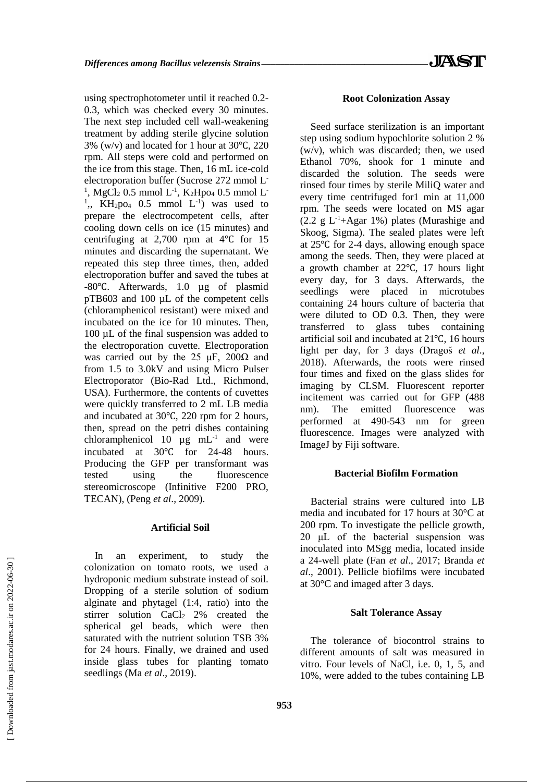using spectrophotometer until it reached 0.2- 0.3, which was checked every 30 minutes. The next step included cell wall-weakening treatment by adding sterile glycine solution 3% (w/v) and located for 1 hour at 30℃, 220 rpm. All steps were cold and performed on the ice from this stage. Then, 16 mL ice-cold electroporation buffer (Sucrose 272 mmol L-<sup>1</sup>, MgCl<sub>2</sub> 0.5 mmol L<sup>-1</sup>, K<sub>2</sub>Hpo<sub>4</sub> 0.5 mmol L<sup>-1</sup> <sup>1</sup>,, KH<sub>2</sub>po<sub>4</sub> 0.5 mmol L<sup>-1</sup>) was used to prepare the electrocompetent cells, after cooling down cells on ice (15 minutes) and centrifuging at 2,700 rpm at 4℃ for 15 minutes and discarding the supernatant. We repeated this step three times, then, added electroporation buffer and saved the tubes at -80℃. Afterwards, 1.0 µg of plasmid pTB603 and 100 µL of the competent cells (chloramphenicol resistant) were mixed and incubated on the ice for 10 minutes. Then, 100 µL of the final suspension was added to the electroporation cuvette. Electroporation was carried out by the 25  $\mu$ F, 200 $\Omega$  and from 1.5 to 3.0kV and using Micro Pulser Electroporator (Bio-Rad Ltd., Richmond, USA). Furthermore, the contents of cuvettes were quickly transferred to 2 mL LB media and incubated at 30℃, 220 rpm for 2 hours, then, spread on the petri dishes containing chloramphenicol 10  $\mu$ g mL<sup>-1</sup> and were incubated at 30℃ for 24-48 hours. Producing the GFP per transformant was tested using the fluorescence stereomicroscope (Infinitive F200 PRO, TECAN), (Peng *et al*., 2009).

# **Artificial Soil**

In an experiment, to study the colonization on tomato roots, we used a hydroponic medium substrate instead of soil. Dropping of a sterile solution of sodium alginate and phytagel (1:4, ratio) into the stirrer solution  $CaCl<sub>2</sub> 2%$  created the spherical gel beads, which were then saturated with the nutrient solution TSB 3% for 24 hours. Finally, we drained and used inside glass tubes for planting tomato seedlings (Ma *et al*., 2019).

#### **Root Colonization Assay**

Seed surface sterilization is an important step using sodium hypochlorite solution 2 % (w/v), which was discarded; then, we used Ethanol 70%, shook for 1 minute and discarded the solution. The seeds were rinsed four times by sterile MiliQ water and every time centrifuged for1 min at 11,000 rpm. The seeds were located on MS agar  $(2.2 \text{ g } L^{-1}+ \text{Agar } 1\%)$  plates (Murashige and Skoog, Sigma). The sealed plates were left at 25℃ for 2-4 days, allowing enough space among the seeds. Then, they were placed at a growth chamber at 22℃, 17 hours light every day, for 3 days. Afterwards, the seedlings were placed in microtubes containing 24 hours culture of bacteria that were diluted to OD 0.3. Then, they were transferred to glass tubes containing artificial soil and incubated at 21℃, 16 hours light per day, for 3 days (Dragoš *et al*., 2018). Afterwards, the roots were rinsed four times and fixed on the glass slides for imaging by CLSM. Fluorescent reporter incitement was carried out for GFP (488 nm). The emitted fluorescence was performed at 490-543 nm for green fluorescence. Images were analyzed with ImageJ by Fiji software.

# **Bacterial Biofilm Formation**

Bacterial strains were cultured into LB media and incubated for 17 hours at 30°C at 200 rpm. To investigate the pellicle growth, 20 μL of the bacterial suspension was inoculated into MSgg media, located inside a 24-well plate (Fan *et al*., 2017; Branda *et al*., 2001). Pellicle biofilms were incubated at 30°C and imaged after 3 days.

#### **Salt Tolerance Assay**

The tolerance of biocontrol strains to different amounts of salt was measured in vitro. Four levels of NaCl, i.e. 0, 1, 5, and 10%, were added to the tubes containing LB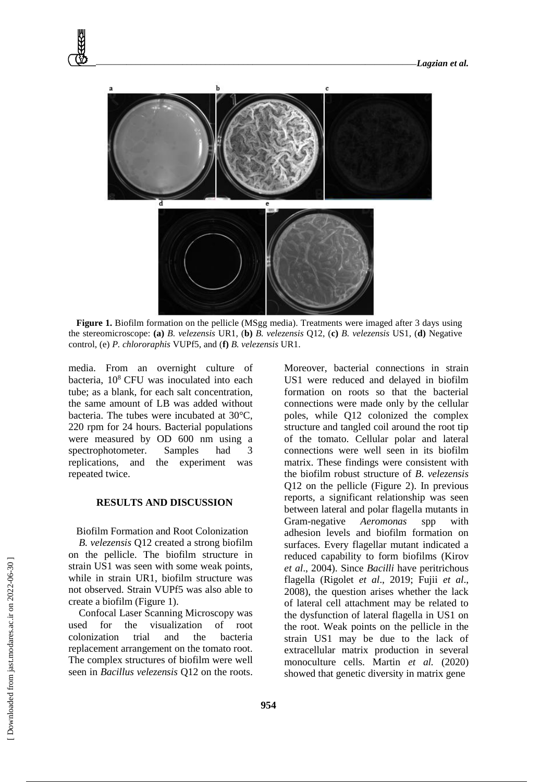

**Figure 1.** Biofilm formation on the pellicle (MSgg media). Treatments were imaged after 3 days using the stereomicroscope: **(a)** *B. velezensis* UR1, (**b)** *B. velezensis* Q12, (**c)** *B. velezensis* US1, (**d)** Negative control, (e) *P. chlororaphis* VUPf5, and (**f)** *B. velezensis* UR1.

media. From an overnight culture of bacteria,  $10^8$  CFU was inoculated into each tube; as a blank, for each salt concentration, the same amount of LB was added without bacteria. The tubes were incubated at 30°C, 220 rpm for 24 hours. Bacterial populations were measured by OD 600 nm using a spectrophotometer. Samples had 3 replications, and the experiment was repeated twice.

# **RESULTS AND DISCUSSION**

Biofilm Formation and Root Colonization

*B. velezensis* Q12 created a strong biofilm on the pellicle. The biofilm structure in strain US1 was seen with some weak points, while in strain UR1, biofilm structure was not observed. Strain VUPf5 was also able to create a biofilm (Figure 1).

Confocal Laser Scanning Microscopy was used for the visualization of root colonization trial and the bacteria replacement arrangement on the tomato root. The complex structures of biofilm were well seen in *Bacillus velezensis* Q12 on the roots.

Moreover, bacterial connections in strain US1 were reduced and delayed in biofilm formation on roots so that the bacterial connections were made only by the cellular poles, while Q12 colonized the complex structure and tangled coil around the root tip of the tomato. Cellular polar and lateral connections were well seen in its biofilm matrix. These findings were consistent with the biofilm robust structure of *B. velezensis* Q12 on the pellicle (Figure 2). In previous reports, a significant relationship was seen between lateral and polar flagella mutants in Gram-negative *Aeromonas* spp with adhesion levels and biofilm formation on surfaces. Every flagellar mutant indicated a reduced capability to form biofilms (Kirov *et al*., 2004). Since *Bacilli* have peritrichous flagella (Rigolet *et al*., 2019; Fujii *et al*., 2008), the question arises whether the lack of lateral cell attachment may be related to the dysfunction of lateral flagella in US1 on the root. Weak points on the pellicle in the strain US1 may be due to the lack of extracellular matrix production in several monoculture cells. Martin *et al.* (2020) showed that genetic diversity in matrix gene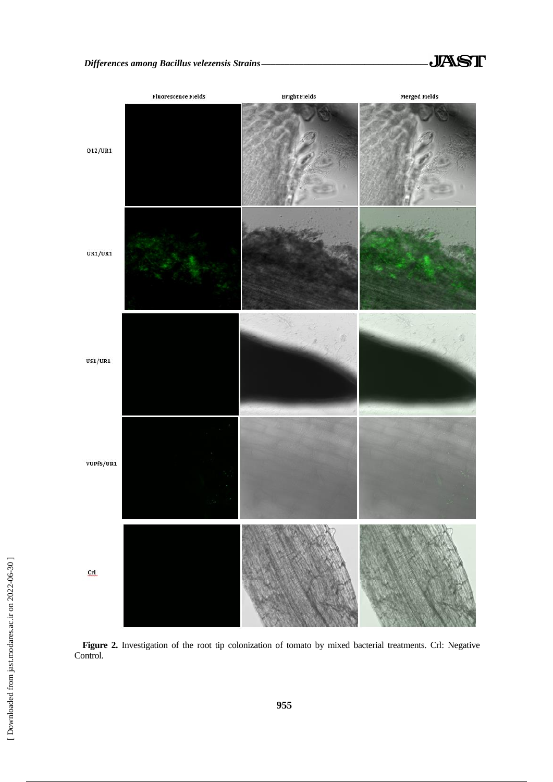

**Figure 2.** Investigation of the root tip colonization of tomato by mixed bacterial treatments. Crl: Negative Control.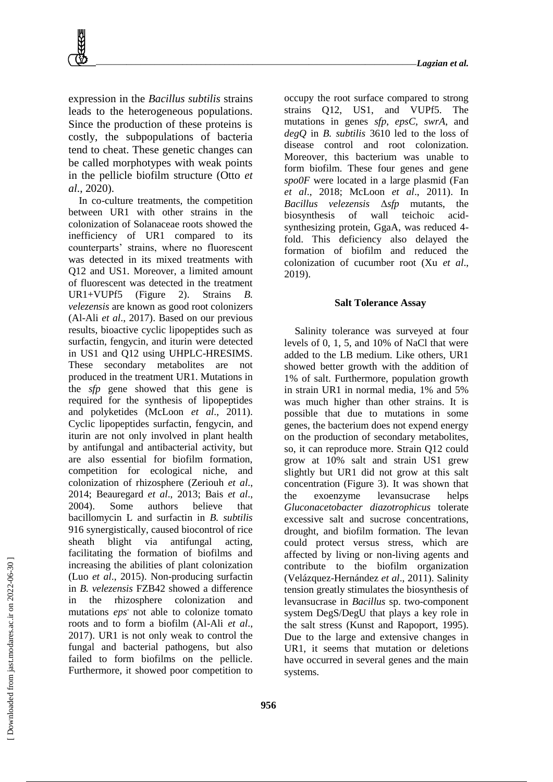expression in the *Bacillus subtilis* strains leads to the heterogeneous populations. Since the production of these proteins is costly, the subpopulations of bacteria tend to cheat. These genetic changes can be called morphotypes with weak points in the pellicle biofilm structure (Otto *et al*., 2020).

In co-culture treatments, the competition between UR1 with other strains in the colonization of Solanaceae roots showed the inefficiency of UR1 compared to its counterparts' strains, where no fluorescent was detected in its mixed treatments with Q12 and US1. Moreover, a limited amount of fluorescent was detected in the treatment UR1+VUPf5 (Figure 2). Strains *B. velezensis* are known as good root colonizers (Al-Ali *et al*., 2017). Based on our previous results, bioactive cyclic lipopeptides such as surfactin, fengycin, and iturin were detected in US1 and Q12 using UHPLC-HRESIMS. These secondary metabolites are not produced in the treatment UR1. Mutations in the *sfp* gene showed that this gene is required for the synthesis of lipopeptides and polyketides (McLoon *et al*., 2011). Cyclic lipopeptides surfactin, fengycin, and iturin are not only involved in plant health by antifungal and antibacterial activity, but are also essential for biofilm formation, competition for ecological niche, and colonization of rhizosphere (Zeriouh *et al*., 2014; Beauregard *et al*., 2013; Bais *et al*., 2004). Some authors believe that bacillomycin L and surfactin in *B. subtilis* 916 synergistically, caused biocontrol of rice sheath blight via antifungal acting, facilitating the formation of biofilms and increasing the abilities of plant colonization (Luo *et al*., 2015). Non-producing surfactin in *B. velezensis* FZB42 showed a difference in the rhizosphere colonization and mutations *eps*- not able to colonize tomato roots and to form a biofilm (Al-Ali *et al*., 2017). UR1 is not only weak to control the fungal and bacterial pathogens, but also failed to form biofilms on the pellicle. Furthermore, it showed poor competition to

occupy the root surface compared to strong strains Q12, US1, and VUPf5. The mutations in genes *sfp*, *epsC, swrA*, and *degQ* in *B. subtilis* 3610 led to the loss of disease control and root colonization. Moreover, this bacterium was unable to form biofilm. These four genes and gene *spo0F* were located in a large plasmid (Fan *et al*., 2018; McLoon *et al*., 2011). In *Bacillus velezensis* Δ*sfp* mutants, the biosynthesis of wall teichoic acidsynthesizing protein, GgaA, was reduced 4 fold. This deficiency also delayed the formation of biofilm and reduced the colonization of cucumber root (Xu *et al*., 2019).

### **Salt Tolerance Assay**

Salinity tolerance was surveyed at four levels of 0, 1, 5, and 10% of NaCl that were added to the LB medium. Like others, UR1 showed better growth with the addition of 1% of salt. Furthermore, population growth in strain UR1 in normal media, 1% and 5% was much higher than other strains. It is possible that due to mutations in some genes, the bacterium does not expend energy on the production of secondary metabolites, so, it can reproduce more. Strain Q12 could grow at 10% salt and strain US1 grew slightly but UR1 did not grow at this salt concentration (Figure 3). It was shown that the exoenzyme levansucrase helps *Gluconacetobacter diazotrophicus* tolerate excessive salt and sucrose concentrations, drought, and biofilm formation. The levan could protect versus stress, which are affected by living or non-living agents and contribute to the biofilm organization (Velázquez-Hernández *et al*., 2011). Salinity tension greatly stimulates the biosynthesis of levansucrase in *Bacillus* sp. two-component system DegS/DegU that plays a key role in the salt stress (Kunst and Rapoport, 1995). Due to the large and extensive changes in UR1, it seems that mutation or deletions have occurred in several genes and the main systems.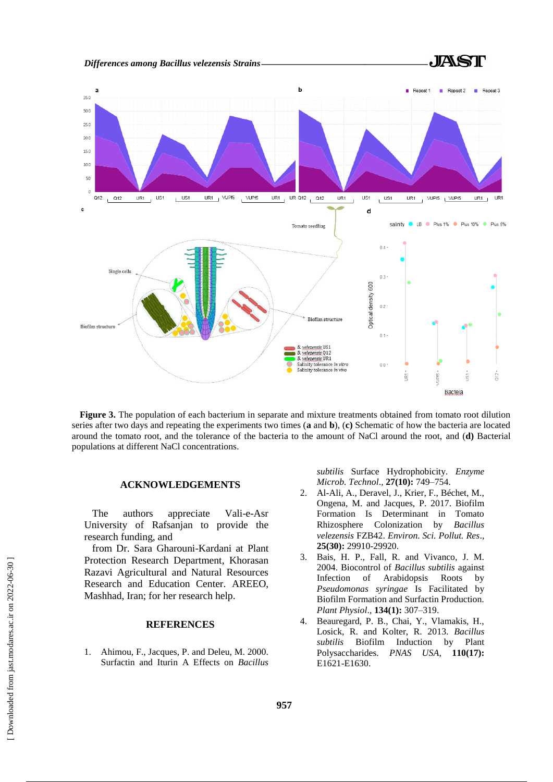

**Figure 3.** The population of each bacterium in separate and mixture treatments obtained from tomato root dilution series after two days and repeating the experiments two times (**a** and **b**), (**c)** Schematic of how the bacteria are located around the tomato root, and the tolerance of the bacteria to the amount of NaCl around the root, and (**d)** Bacterial populations at different NaCl concentrations.

# **ACKNOWLEDGEMENTS**

The authors appreciate Vali-e-Asr University of Rafsanjan to provide the research funding, and

from Dr. Sara Gharouni-Kardani at Plant Protection Research Department, Khorasan Razavi Agricultural and Natural Resources Research and Education Center. AREEO, Mashhad, Iran; for her research help.

# **REFERENCES**

1. Ahimou, F., Jacques, P. and Deleu, M. 2000. Surfactin and Iturin A Effects on *Bacillus*  *subtilis* Surface Hydrophobicity. *Enzyme Microb. Technol*.*,* **27(10):** 749–754.

- 2. Al-Ali, A., Deravel, J., Krier, F., Béchet, M., Ongena, M. and Jacques, P. 2017. Biofilm Formation Is Determinant in Tomato Rhizosphere Colonization by *Bacillus velezensis* FZB42. *Environ. Sci. Pollut. Res*., **25(30):** 29910-29920.
- 3. Bais, H. P., Fall, R. and Vivanco, J. M. 2004. Biocontrol of *Bacillus subtilis* against Infection of Arabidopsis Roots by *Pseudomonas syringae* Is Facilitated by Biofilm Formation and Surfactin Production. *Plant Physiol*.*,* **134(1):** 307–319.
- 4. Beauregard, P. B., Chai, Y., Vlamakis, H., Losick, R. and Kolter, R. 2013. *Bacillus subtilis* Biofilm Induction by Plant Polysaccharides. *PNAS USA,* **110(17):** E1621-E1630.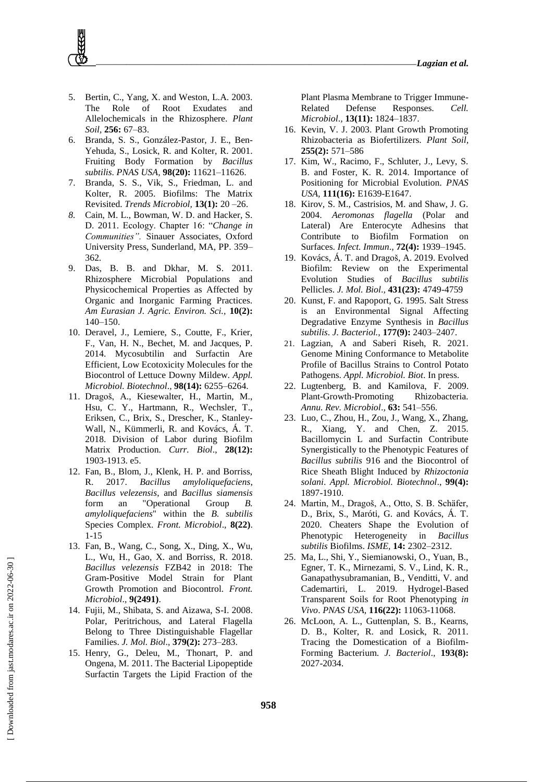- 5. Bertin, C., Yang, X. and Weston, L.A. 2003. The Role of Root Exudates and Allelochemicals in the Rhizosphere. *Plant Soil,* **256:** 67–83.
- 6. Branda, S. S., González-Pastor, J. E., Ben-Yehuda, S., Losick, R. and Kolter, R. 2001. Fruiting Body Formation by *Bacillus subtilis*. *PNAS USA,* **98(20):** 11621–11626.
- 7. Branda, S. S., Vik, S., Friedman, L. and Kolter, R. 2005. Biofilms: The Matrix Revisited. *Trends Microbiol,* **13(1):** 20 –26.
- *8.* Cain, M. L., Bowman, W. D. and Hacker, S. D. 2011. Ecology. Chapter 16: "*Change in Communities".* Sinauer Associates, Oxford University Press, Sunderland, MA, PP. 359– 362*.*
- 9. Das, B. B. and Dkhar, M. S. 2011. Rhizosphere Microbial Populations and Physicochemical Properties as Affected by Organic and Inorganic Farming Practices. *Am Eurasian J. Agric. Environ. Sci.,* **10(2):** 140–150.
- 10. Deravel, J., Lemiere, S., Coutte, F., Krier, F., Van, H. N., Bechet, M. and Jacques, P. 2014. Mycosubtilin and Surfactin Are Efficient, Low Ecotoxicity Molecules for the Biocontrol of Lettuce Downy Mildew. *Appl. Microbiol. Biotechnol*.*,* **98(14):** 6255–6264.
- 11. [Dragoš,](https://www.sciencedirect.com/science/article/pii/S0960982218305189#!) A., [Kiesewalter,](https://www.sciencedirect.com/science/article/pii/S0960982218305189#!) H., Martin, M., Hsu, C. Y., Hartmann, R., Wechsler, T., [Eriksen,](https://www.sciencedirect.com/science/article/pii/S0960982218305189#!) C., Brix, S., [Drescher,](https://www.sciencedirect.com/science/article/pii/S0960982218305189#!) K., Stanley-Wall, N., [Kümmerli,](https://www.sciencedirect.com/science/article/pii/S0960982218305189#!) R. and [Kovács,](https://www.sciencedirect.com/science/article/pii/S0960982218305189#!) Á. T. 2018. Division of Labor during Biofilm Matrix Production. *Curr. Biol*., **28(12):** 1903-1913. e5.
- 12. Fan, B., Blom, J., Klenk, H. P. and Borriss, R. 2017. *Bacillus amyloliquefaciens*, *Bacillus velezensis*, and *Bacillus siamensis*  form an "Operational Group *B. amyloliquefaciens*" within the *B. subtilis* Species Complex. *Front. Microbiol*.*,* **8(22)**. 1-15
- 13. Fan, B., Wang, C., Song, X., Ding, X., Wu, L., Wu, H., [Gao,](http://www.frontiersin.org/people/u/296221) X. and [Borriss,](http://www.frontiersin.org/people/u/187580) R. 2018. *Bacillus velezensis* FZB42 in 2018: The Gram-Positive Model Strain for Plant Growth Promotion and Biocontrol. *Front. Microbiol*.*,* **9(2491)**.
- 14. Fujii, M., Shibata, S. and Aizawa, S-I. 2008. Polar, Peritrichous, and Lateral Flagella Belong to Three Distinguishable Flagellar Families. *J. Mol. Biol*.*,* **379(2):** 273–283.
- 15. Henry, G., Deleu, M., Thonart, P. and Ongena, M. 2011. The Bacterial Lipopeptide Surfactin Targets the Lipid Fraction of the

Plant Plasma Membrane to Trigger Immune-Related Defense Responses. *Cell. Microbiol*.*,* **13(11):** 1824–1837.

- 16. Kevin, V. J. 2003. Plant Growth Promoting Rhizobacteria as Biofertilizers. *Plant Soil,*  **255(2):** 571–586
- 17. Kim, W., Racimo, F., Schluter, J., Levy, S. B. and Foster, K. R. 2014. Importance of Positioning for Microbial Evolution. *PNAS USA,* **111(16):** E1639-E1647.
- 18. Kirov, S. M., Castrisios, M. and Shaw, J. G. 2004. *Aeromonas flagella* (Polar and Lateral) Are Enterocyte Adhesins that Contribute to Biofilm Formation on Surfaces. *Infect. Immun*.*,* **72(4):** 1939–1945.
- 19. [Kovács,](https://www.sciencedirect.com/science/article/abs/pii/S0022283619300701#!) Á. T. and [Dragoš,](https://www.sciencedirect.com/science/article/abs/pii/S0022283619300701#!) A. 2019. Evolved Biofilm: Review on the Experimental Evolution Studies of *Bacillus subtilis* Pellicles. *J. Mol. Biol*.*,* **431(23):** 4749-4759
- 20. Kunst, F. and Rapoport, G. 1995. Salt Stress is an Environmental Signal Affecting Degradative Enzyme Synthesis in *Bacillus subtilis*. *J. Bacteriol.,* **177(9):** 2403–2407.
- 21. Lagzian, A and Saberi Riseh, R. 2021. Genome Mining Conformance to Metabolite Profile of Bacillus Strains to Control Potato Pathogens. *Appl. Microbiol. Biot*. In press.
- 22. Lugtenberg, B. and Kamilova, F. 2009. Plant-Growth-Promoting Rhizobacteria. *Annu. Rev. Microbiol*.*,* **63:** 541–556.
- 23. Luo, C., Zhou, H., Zou, J., Wang, X., Zhang, R., Xiang, Y. and Chen, Z. 2015. Bacillomycin L and Surfactin Contribute Synergistically to the Phenotypic Features of *Bacillus subtilis* 916 and the Biocontrol of Rice Sheath Blight Induced by *Rhizoctonia solani*. *Appl. Microbiol. Biotechnol*., **99(4):** 1897-1910.
- 24. Martin, M., Dragoš, A., Otto, S. B. Schäfer, D., Brix, S., Maróti, G. and Kovács, Á. T. 2020. Cheaters Shape the Evolution of Phenotypic Heterogeneity in *Bacillus subtilis* Biofilms. *ISME,* **14:** 2302–2312.
- 25. Ma, L., Shi, Y., Siemianowski, O., Yuan, B., Egner, T. K., Mirnezami, S. V., Lind, K. R., Ganapathysubramanian, B., Venditti, V. and Cademartiri, L. 2019. Hydrogel-Based Transparent Soils for Root Phenotyping *in Vivo*. *PNAS USA,* **116(22):** 11063-11068.
- 26. McLoon, A. L., Guttenplan, S. B., Kearns, D. B., Kolter, R. and Losick, R. 2011. Tracing the Domestication of a Biofilm-Forming Bacterium. *J. Bacteriol*.*,* **193(8):** 2027-2034.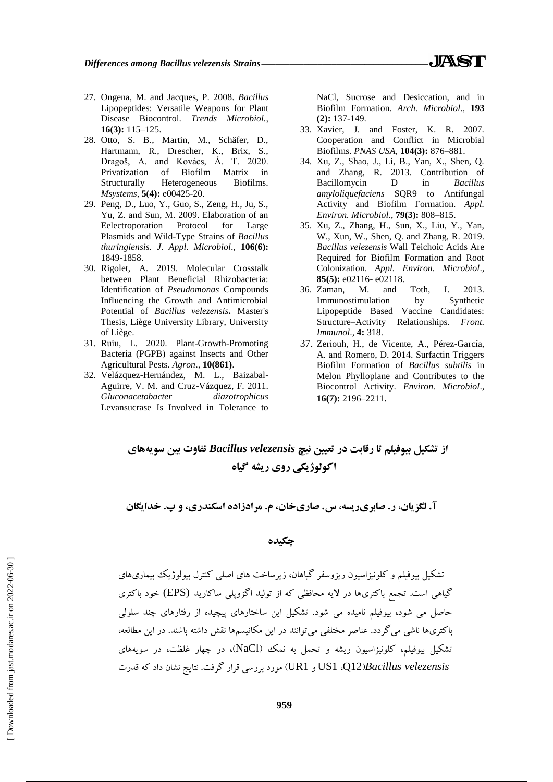- 27. Ongena, M. and Jacques, P. 2008. *Bacillus* Lipopeptides: Versatile Weapons for Plant Disease Biocontrol. *Trends Microbiol.,*  **16(3):** 115–125.
- 28. Otto, S. B., Martin, M., Schäfer, D., Hartmann, R., Drescher, K., Brix, S., Dragoš, A. and Kovács, Á. T. 2020. Privatization of Biofilm Matrix in Structurally Heterogeneous Biofilms. *Msystems,* **5(4):** e00425-20.
- 29. Peng, D., Luo, Y., Guo, S., Zeng, H., Ju, S., Yu, Z. and Sun, M. 2009. Elaboration of an Eelectroporation Protocol for Large Plasmids and Wild-Type Strains of *Bacillus thuringiensis*. *J*. *Appl*. *Microbiol*.*,* **106(6):** 1849-1858.
- 30. Rigolet, A. 2019. Molecular Crosstalk between Plant Beneficial Rhizobacteria: Identification of *Pseudomonas* Compounds Influencing the Growth and Antimicrobial Potential of *Bacillus velezensis***.** Master's Thesis, Liège University Library, University of Liège.
- 31. Ruiu, L. 2020. Plant-Growth-Promoting Bacteria (PGPB) against Insects and Other Agricultural Pests. *Agron*.*,* **10(861)**.
- 32. Velázquez-Hernández, M. L., Baizabal-Aguirre, V. M. and Cruz-Vázquez, F. 2011. *Gluconacetobacter diazotrophicus* Levansucrase Is Involved in Tolerance to

NaCl, Sucrose and Desiccation, and in Biofilm Formation. *Arch. Microbiol*.*,* **193 (2):** 137-149.

- 33. Xavier, J. and Foster, K. R. 2007. Cooperation and Conflict in Microbial Biofilms. *PNAS USA,* **104(3):** 876–881.
- 34. Xu, Z., Shao, J., Li, B., Yan, X., Shen, Q. and Zhang, R. 2013. Contribution of Bacillomycin D in *Bacillus amyloliquefaciens* SQR9 to Antifungal Activity and Biofilm Formation. *Appl. Environ. Microbiol*., **79(3):** 808–815.
- 35. Xu, Z., Zhang, H., Sun, X., Liu, Y., Yan, W., Xun, W., Shen, Q. and Zhang, R. 2019. *Bacillus velezensis* Wall Teichoic Acids Are Required for Biofilm Formation and Root Colonization. *Appl. Environ. Microbiol*.*,*  **85(5):** e02116- e02118.
- 36. Zaman, M. and Toth, I. 2013. Immunostimulation by Synthetic Lipopeptide Based Vaccine Candidates: Structure–Activity Relationships. *Front. Immunol*.*,* **4:** 318.
- 37. Zeriouh, H., de Vicente, A., Pérez-García, A. and Romero, D. 2014. Surfactin Triggers Biofilm Formation of *Bacillus subtilis* in Melon Phylloplane and Contributes to the Biocontrol Activity. *Environ. Microbiol*.*,* **16(7):** 2196–2211.

**از تشکیل بیوفیلم تا رقابت در تعیین نیچ** *velezensis Bacillus* **تفاوت بین سویههای اکولوژیکی روی ریشه گیاه**

**آ. لگزیان، ر. صابریریسه، س. صاریخان، م. مرادزاده اسکندری، و پ. خدایگان**

**چکیده**

تشکیل بیوفیلم و کلونیزاسیون ریزوسفر گیاهان، زیرساخت های اصلی کنترل بیولوژیک بیماریهای گیاهی است. تجمع باکتریها در الیه محافظی که از تولید اگزوپلی ساکارید (EPS (خود باکتری حاصل می شود، بیوفیلم نامیده می شود. تشکیل این ساختارهای پیچیده از رفتارهای چند سلولی باکتریها ناشی می گردد. عناصر مختلفی می توانند در این مکانیسمها نقش داشته باشند. در این مطالعه، تشکیل بیوفیلم، کلونیزاسیون ریشه و تحمل به نمک )NaCl)، در چهار غلظت، در سویههای  *velezensis Bacillus*(12Q، 1US و 1UR )مورد بررسی قرار گرفت. نتایج نشان داد که قدرت